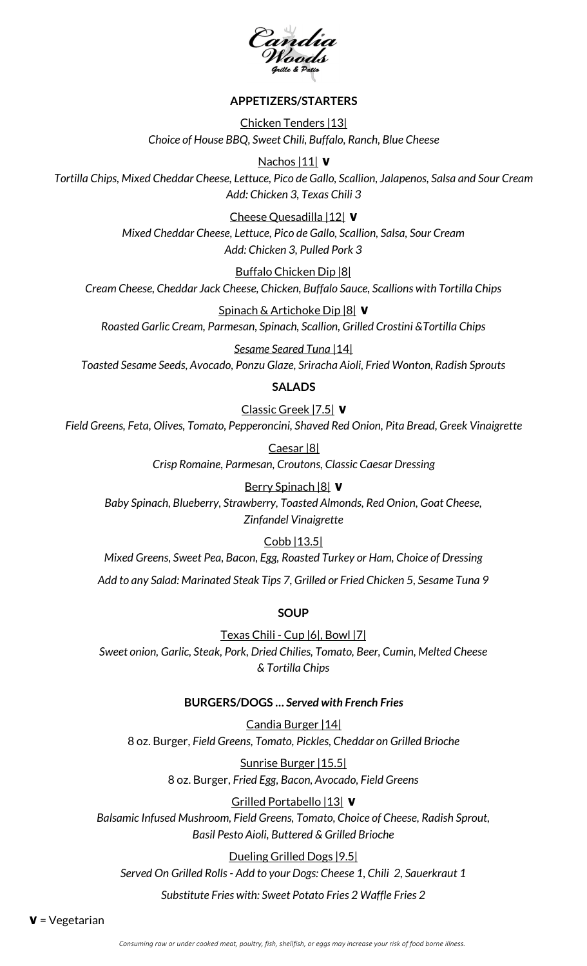

# **APPETIZERS/STARTERS**

Chicken Tenders |13| *Choice of House BBQ, Sweet Chili, Buffalo, Ranch, Blue Cheese*

Nachos | 11 | **V** *Tortilla Chips, Mixed Cheddar Cheese, Lettuce, Pico de Gallo, Scallion, Jalapenos, Salsa and Sour Cream Add: Chicken 3, Texas Chili 3*

> Cheese Quesadilla | 12| V *Mixed Cheddar Cheese, Lettuce, Pico de Gallo, Scallion, Salsa, Sour Cream Add: Chicken 3, Pulled Pork 3*

Buffalo Chicken Dip |8| *Cream Cheese, Cheddar Jack Cheese, Chicken, Buffalo Sauce, Scallions with Tortilla Chips*

Spinach & Artichoke Dip 8 V *Roasted Garlic Cream, Parmesan, Spinach, Scallion, Grilled Crostini &Tortilla Chips*

*Sesame Seared Tuna* |14| *Toasted Sesame Seeds, Avocado, Ponzu Glaze, Sriracha Aioli, Fried Wonton, Radish Sprouts*

## **SALADS**

Classic Greek |7.5| V

*Field Greens, Feta, Olives, Tomato, Pepperoncini, Shaved Red Onion, Pita Bread, Greek Vinaigrette* 

Caesar |8| *Crisp Romaine, Parmesan, Croutons, Classic Caesar Dressing*

Berry Spinach | 8| V *Baby Spinach, Blueberry, Strawberry, Toasted Almonds, Red Onion, Goat Cheese, Zinfandel Vinaigrette* 

Cobb |13.5| *Mixed Greens, Sweet Pea, Bacon, Egg, Roasted Turkey or Ham, Choice of Dressing Add to any Salad: Marinated Steak Tips 7, Grilled or Fried Chicken 5, Sesame Tuna 9*

## **SOUP**

Texas Chili - Cup |6|, Bowl |7| *Sweet onion, Garlic, Steak, Pork, Dried Chilies, Tomato, Beer, Cumin, Melted Cheese & Tortilla Chips*

**BURGERS/DOGS …** *Served with French Fries*

Candia Burger |14| 8 oz. Burger, *Field Greens, Tomato, Pickles, Cheddar on Grilled Brioche*

> Sunrise Burger |15.5| 8 oz. Burger, *Fried Egg, Bacon, Avocado, Field Greens*

## Grilled Portabello |13| V

*Balsamic Infused Mushroom, Field Greens, Tomato, Choice of Cheese, Radish Sprout, Basil Pesto Aioli, Buttered & Grilled Brioche*

## Dueling Grilled Dogs |9.5|

*Served On Grilled Rolls - Add to your Dogs: Cheese 1, Chili 2, Sauerkraut 1*

*Substitute Fries with: Sweet Potato Fries 2 Waffle Fries 2*

 **= Vegetarian**